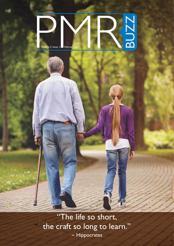# Polume 2, Issue 1, February 2021 BUZZ

"The life so short, the craft so long to learn." ~ Hippocrates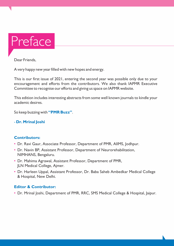

Dear Friends,

A very happy new year filled with new hopes and energy.

This is our first issue of 2021, entering the second year was possible only due to your encouragement and efforts from the contributors. We also thank IAPMR Executive Committee to recognise our efforts and giving us space on IAPMR website.

This edition includes interesting abstracts from some well known journals to kindle your academic desires.

So keep buzzing with **"PMR Buzz"**.

## - **Dr. Mrinal Joshi**

## **Contributors:**

- Dr. Ravi Gaur, Associate Professor, Department of PMR, AIIMS, Jodhpur.
- Dr. Navin BP, Assistant Professor, Department of Neurorehabilitation, NIMHANS, Bengaluru.
- Dr. Mahima Agrawal, Assistant Professor, Department of PMR, JLN Medical College, Ajmer.
- Dr. Harleen Uppal, Assistant Professor, Dr. Baba Saheb Ambedkar Medical College & Hospital, New Delhi.

## **Editor & Contributor:**

• Dr. Mrinal Joshi, Department of PMR, RRC, SMS Medical College & Hospital, Jaipur.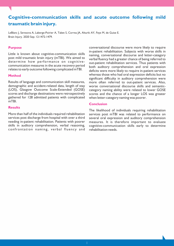# **Cognitive-communication skills and acute outcome following mild traumatic brain injury.**

LeBlanc J, Seresova A, Laberge-Poirier A, Tabet S, Correa JA, Alturki AY, Feyz M, de Guise E. Brain Injury. 2020 Sep; 12:1472-1479.

#### **Purpose**

Little is known about cognitive-communication skills post mild traumatic brain injury (mTBI). We aimed to determine how performance on cognitivecommunication measures in the acute recovery period relates to early outcome following complicated mTBI.

#### **Method**

Results of language and communication skill measures, demographic and accident-related data, length of stay (LOS), Glasgow Outcome Scale-Extended (GOSE) scores and discharge destinations were retrospectively gathered for 128 admitted patients with complicated mTBI.

#### **Results**

More than half of the individuals required rehabilitation services post discharge from hospital with over a third needing in-patient rehabilitation. Patients with poorer skills in auditory comprehension, verbal reasoning, confrontation naming, verbal fluency and conversational discourse were more likely to require in-patient rehabilitation. Subjects with worse skills in naming, conversational discourse and letter-category verbal fluency had a greater chance of being referred to out-patient rehabilitation services. Thus patients with both auditory comprehension and oral expression deficits were more likely to require in-patient services whereas those who had oral expression deficits but no significant difficulty in auditory comprehension were more often referred to out-patient services. Also, worse conversational discourse skills and semanticcategory naming ability were related to lower GOSE scores and the chance of a longer LOS was greater when letter-category naming was poorer.

#### **Conclusion**

The likelihood of individuals requiring rehabilitation services post mTBI was related to performance on several oral expression and auditory comprehension measures. It is therefore important to evaluate cognitive-communication skills early to determine rehabilitation needs.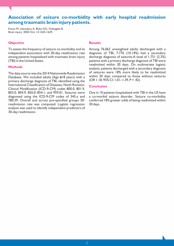## **Association of seizure co-morbidity with early hospital readmission among traumatic brain injury patients.**

Kwon M, Lekoubou A, Bishu KG, Ovbiagele B. Brain injury. 2020 Oct; 12:1625-1629.

#### **Objective**

To assess the frequency of seizure co-morbidity and its independent association with 30-day readmission rate among patients hospitalized with traumatic brain injury (TBI) in the United States.

#### **Methods**

The data source was the 2014 Nationwide Readmission Database. We included adults (Age  $\Box$ 18 years) with a primary discharge diagnosis of TBI, identified using the International Classification of Diseases, Ninth Revision, Clinical Modification (ICD-9-CM) codes 800.0, 801.9, 803.0, 804.9, 850.0–854.1, and 959.01. Seizures were diagnosed using the ICD-9-CM codes of 345.x and 780.39. Overall and across pre-specified groups 30 readmission rate was computed. Logistic regression analysis was used to identify independent predictors of 30-day readmission.

#### **Results**

Among 76,062 unweighted adults discharged with a diagnosis of TBI, 7,776 (10.14%) had a secondary discharge diagnosis of seizures.A total of 1,751 (2.3%) patients with a primary discharge diagnosis of TBI were readmitted within 30 days. On multivariate logistic analysis, patients discharged with a secondary diagnosis of seizures were 18% more likely to be readmitted within 30 days compared to those without seizures  $(OR 1.18, 95\% CI: 1.01 - 1.39, P = .42).$ 

#### **Conclusion**

One in 10 patients hospitalized with TBI in the US have a co-morbid seizure disorder. Seizure co-morbidity conferred 18% greater odds of being readmitted within 30 days.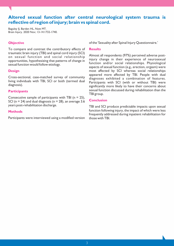## **Altered sexual function after central neurological system trauma is reflective of region of injury; brain vs spinal cord.**

Baguley IJ, Barden HL, Nott MT. Brain Injury. 2020 Nov; 13-14:1732-1740.

#### **Objective**

To compare and contrast the contributory effects of traumatic brain injury (TBI) and spinal cord injury (SCI) on sexual function and social relationship opportunities, hypothesizing that patterns of change in sexual function would follow etiology.

#### **Design**

Cross-sectional, case-matched survey of community living individuals with TBI, SCI or both (termed dual diagnosis).

#### **Participants**

Consecutive sample of participants with TBI ( $n = 25$ ), SCI ( $n = 24$ ) and dual diagnosis ( $n = 28$ ), an average 3.6 years post-rehabilitation discharge.

#### **Methods**

Participants were interviewed using a modified version

of the 'Sexuality after Spinal Injury Questionnaire.'

#### **Results**

Almost all respondents (97%) perceived adverse postinjury change in their experience of neurosexual function and/or social relationships. Physiological aspects of sexual function (e.g., erection, orgasm) were most affected by SCI whereas social relationships appeared more affected by TBI. People with dual diagnoses exhibited a combination of features. Participants with SCI (with or without TBI) were significantly more likely to have their concerns about sexual function discussed during rehabilitation than the TBI group.

#### **Conclusion**

TBI and SCI produce predictable impacts upon sexual function following injury, the impact of which were less frequently addressed during inpatient rehabilitation for those with TBI.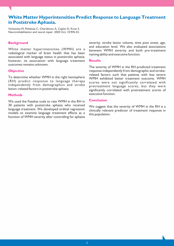## **White Matter Hyperintensities Predict Response to Language Treatment in Poststroke Aphasia.**

Varkanitsa M, Peñaloza C, Charidimou A, Caplan D, Kiran S. Neurorehabilitation and neural repair. 2020 Oct; 10:945-53.

#### **Background**

White matter hyperintensities (WMH) are a radiological marker of brain health that has been associated with language status in poststroke aphasia; however, its association with language treatment outcomes remains unknown.

#### **Objective**

To determine whether WMH in the right hemisphere (RH) predict response to language therapy independently from demographics and stroke lesion–related factors in poststroke aphasia.

#### **Methods**

We used the Fazekas scale to rate WMH in the RH in 30 patients with poststroke aphasia who received language treatment. We developed ordinal regression models to examine language treatment effects as a function of WMH severity after controlling for aphasia

severity, stroke lesion volume, time post onset, age, and education level. We also evaluated associations between WMH severity and both pre-treatment naming ability and executive function.

#### **Results**

The severity of WMH in the RH predicted treatment response independently from demographic and strokerelated factors such that patients with less severe WMH exhibited better treatment outcome. WMH scores were not significantly correlated with pretreatment language scores, but they were significantly correlated with pretreatment scores of executive function.

#### **Conclusion**

We suggest that the severity of WMH in the RH is a clinically relevant predictor of treatment response in this population.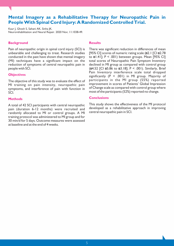## **Mental Imagery as a Rehabilitative Therapy for Neuropathic Pain in People With Spinal Cord Injury: A Randomized Controlled Trial.**

Kaur J, Ghosh S, Sahani AK, Sinha JK. Neurorehabilitation and Neural Repair. 2020 Nov; 11:1038-49.

#### **Background**

Pain of neuropathic origin in spinal cord injury (SCI) is unbearable and challenging to treat. Research studies conducted in the past have shown that mental imagery (MI) techniques have a significant impact on the reduction of symptoms of central neuropathic pain in people with SCI.

#### **Objectives**

The objective of this study was to evaluate the effect of MI training on pain intensity, neuropathic pain symptoms, and interference of pain with function in SCI.

#### **Methods**

A total of 42 SCI participants with central neuropathic pain (duration 6-12 months) were recruited and randomly allocated to MI or control groups. A MI training protocol was administered to MI group and for 30 min/d for 5 days. Outcome measures were assessed at baseline and at the end of 4 weeks.

#### **Results**

There was significant reduction in differences of mean [95% CI] scores of numeric rating scale ( $\Box$ 2.1 [CI  $\Box$ 2.78 to  $\blacksquare$  1.41]; P < .001) between groups. Mean [95% CI] total scores of Neuropathic Pain Symptom Inventory declined in MI group as compared with control group  $(A.52$  [CI  $\text{B}5.86$  to  $\text{B}3.18$ ]; P < .001). Similarly, Brief Pain Inventory interference scale total dropped significantly (P < .001) in MI group. Majority of participants in the MI group (55%) reported improvement in scores of Patients' Global Impression of Change scale as compared with control group where most of the participants (52%) reported no change.

#### **Conclusions**

This study shows the effectiveness of the MI protocol developed as a rehabilitative approach in improving central neuropathic pain in SCI.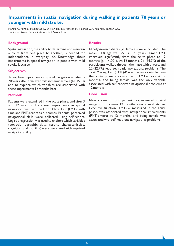## **Impairments in spatial navigation during walking in patients 70 years or younger with mild stroke.**

Hamre C, Fure B, Helbostad JL, Wyller TB, Ihle-Hansen H, Vlachos G, Ursin MH, Tangen GG. Topics in Stroke Rehabilitation. 2020 Nov 24:1-9.

#### **Background**

Spatial navigation, the ability to determine and maintain a route from one place to another, is needed for independence in everyday life. Knowledge about impairments in spatial navigation in people with mild stroke is scarce.

#### **Objectives**

To explore impairments in spatial navigation in patients 70 years after first-ever mild ischemic stroke (NIHSS 3) and to explore which variables are associated with these impairments 12 months later.

#### **Methods**

Patients were examined in the acute phase, and after 3 and 12 months. To assess impairments in spatial navigation, we used the Floor Maze Test (FMT), with time and FMT-errors as outcomes. Patients' perceived navigational skills were collected using self-report. Logistic regression was used to explore which variables (sociodemographic data, stroke characteristics, cognition, and mobility) were associated with impaired navigation ability.

#### **Results**

Ninety-seven patients (20 females) were included. The mean (SD) age was 55.5 (11.4) years. Timed FMT improved significantly from the acute phase to 12 months ( $p = 5.001$ ). At 12 months, 24 (24.7%) of the participants walked through the maze with errors, and 22 (22.7%) reported spatial navigational problems. The Trail Making Test (TMT)-B was the only variable from the acute phase associated with FMT-errors at 12 months, and being female was the only variable associated with self-reported navigational problems at 12 months.

#### **Conclusion**

Nearly one in four patients experienced spatial navigation problems 12 months after a mild stroke. Executive function (TMT-B), measured in the acute phase, was associated with navigational impairments (FMT-errors) at 12 months, and being female was associated with self-reported navigational problems.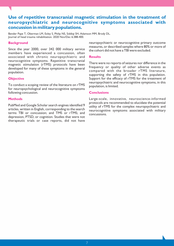## **Use of repetitive transcranial magnetic stimulation in the treatment of neuropsychiatric and neurocognitive symptoms associated with concussion in military populations.**

Bender Pape T, Oberman LM, Exley S, Philip NS, Siddiqi SH, Adamson MM, Brody DL. Journal of head trauma rehabilitation. 2020 Nov/Dec 6:388-400.

#### **Background**

Since the year 2000, over 342 000 military service members have experienced a concussion, often associated with chronic neuropsychiatric and neurocognitive symptoms. Repetitive transcranial magnetic stimulation (rTMS) protocols have been developed for many of these symptoms in the general population.

#### **Objective**

To conduct a scoping review of the literature on rTMS for neuropsychological and neurocognitive symptoms following concussion.

#### **Methods**

PubMed and Google Scholar search engines identified 9 articles, written in English, corresponding to the search terms TBI or concussion; and TMS or rTMS; and depression, PTSD, or cognition. Studies that were not therapeutic trials or case reports, did not have

neuropsychiatric or neurocognitive primary outcome measures, or described samples where 80% or more of the cohort did not have a TBI were excluded.

#### **Results**

There were no reports of seizures nor difference in the frequency or quality of other adverse events as compared with the broader rTMS literature, supporting the safety of rTMS in this population. Support for the efficacy of rTMS for the treatment of neuropsychiatric and neurocognitive symptoms, in this population, is limited.

#### **Conclusions**

Large-scale, innovative, neuroscience-informed protocols are recommended to elucidate the potential utility of rTMS for the complex neuropsychiatric and neurocognitive symptoms associated with military concussions.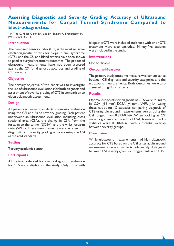## **Assessing Diagnostic and Severity Grading Accuracy of Ultrasound Measurements for Carpal Tunnel Syndrome Compared to Electrodiagnostics.**

Yin-Ting C, Miller Olson EK, Lee SH, Sainani K, Fredericson M. PM R. 2020 Dec 11.

#### **Introduction**

The combined sensory index (CSI) is the most sensitive electrodiagnostic criteria for carpal tunnel syndrome (CTS), and the CSI and Bland criteria have been shown to predict surgical treatment outcomes. The proposed ultrasound measurements have not been assessed against the CSI for diagnostic accuracy and grading of CTS severity.

#### **Objective**

The primary objective of this paper was to investigate the use of ultrasound evaluations for both diagnosis and assessment of severity grading of CTS in comparison to electrodiagnostic assessment.

#### **Design**

All patients underwent an electrodiagnostic evaluation using the CSI and Bland severity grading. Each patient underwent an ultrasound evaluation including cross sectional area (CSA), the change in CSA from the forearm to the tunnel (DCSA), and the wrist-forearm ratio (WFR). These measurements were assessed for diagnostic and severity grading accuracy using the CSI as the gold standard.

#### **Setting**

Tertiary academic center

#### **Participants**

All patients referred for electrodiagnostic evaluation for CTS were eligible for the study. Only those with idiopathic CTS were included and those with prior CTS treatment were also excluded. Ninety-five patients were included in the study.

#### **Interventions**

Not Applicable.

#### **Outcome Measures**

The primary study outcome measure was concordance between CSI diagnosis and severity categories and the ultrasound measurements. Both outcomes were also assessed using Bland criteria.

#### **Results**

Optimal cut-points for diagnosis of CTS were found to be CSA  $\geq$ 12 mm<sup>2</sup>, DCSA  $\geq$ 4 mm<sup>2</sup>, WFR  $\geq$ 1.4. Using these cut-points, C-statistics comparing diagnosis of CTS using ultrasound measurements versus using the CSI ranged from 0.893-0.966. When looking at CSI severity grading compared to DCSA, however, the Cstatistics were 0.640-0.661 with substantial overlap between severity groups.

#### **Conclusion**

While ultrasound measurements had high diagnostic accuracy for CTS based on the CSI criteria, ultrasound measurements were unable to adequately distinguish between CSI severity groups among patients with CTS.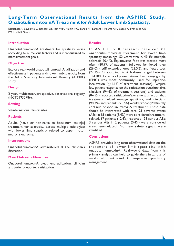## **Long-Term Observational Results from the ASPIRE Study: OnabotulinumtoxinA Treatment for Adult Lower Limb Spasticity.**

Esquenazi A, Bavikatte G, Bandari DS, Jost WH, Munin MC, Tang SFT, Largent J, Adams AM, Zuzek A, Francisco GE. PM R. 2020 Nov 5.

#### **Introduction**

OnabotulinumtoxinA treatment for spasticity varies according to numerous factors and is individualized to meet treatment goals.

#### **Objective**

Explore real-world onabotulinumtoxinA utilization and effectiveness in patients with lower limb spasticity from the Adult Spasticity International Registry (ASPIRE) study.

#### **Design**

2-year, multicenter, prospective, observational registry (NCT01930786).

#### **Setting**

54 international clinical sites.

#### **Patients**

Adults (naïve or non-naïve to botulinum toxin[s] treatment for spasticity, across multiple etiologies) with lower limb spasticity related to upper motor neuron syndrome.

#### **Interventions**

OnabotulinumtoxinA administered at the clinician's discretion.

#### **Main Outcome Measures**

OnabotulinumtoxinA treatment utilization, clinician and patient-reported satisfaction.

#### **Results**

In ASPIRE, 530 patients received  $\geq$  1 onabotulinumtoxinA treatment for lower limb spasticity (mean age, 52 years; stroke, 49.4%; multiple sclerosis 20.4%). Equinovarus foot was treated most often (80.9% of patients), followed by flexed knee (26.0%), stiff extended knee (22.5%), and flexed toes (22.3%). OnabotulinumtoxinA doses ranged between 10-1100 U across all presentations. Electromyography (EMG) was most commonly used for injection localization  $(241.1\%$  of treatment sessions). Despite low patient response on the satisfaction questionnaire, clinicians (94.6% of treatment sessions) and patients (84.5%) reported satisfaction/extreme satisfaction that treatment helped manage spasticity, and clinicians (98.3%) and patients (91.6%) would probably/definitely continue onabotulinumtoxinA treatment. These data should be interpreted with care. 21 adverse events (AEs) in 18 patients (3.4%) were considered treatmentrelated. 67 patients (12.6%) reported 138 serious AEs; 3 serious AEs in 2 patients (0.4%) were considered treatment-related. No new safety signals were identified.

### **Conclusions**

ASPIRE provides long-term observational data on the treatment of lower limb spasticity with onabotulinumtoxinA. Real-world data from this primary analysis can help to guide the clinical use of onabotulinumtoxinA to improve spasticity management.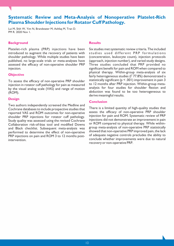## **Systematic Review and Meta-Analysis of Nonoperative Platelet-Rich Plasma Shoulder Injections for Rotator Cuff Pathology.**

Lui M, Shih W, Yim N, Brandstater M, Ashfaq M, Tran D. PM R. 2020 Nov 1.

#### **Background**

Platelet-rich plasma (PRP) injections have been introduced to augment the recovery of patients with shoulder pathology. While multiple studies have been published, no large-scale trials or meta-analyses have assessed the efficacy of non-operative shoulder PRP injection.

#### **Objective**

To assess the efficacy of non‐operative PRP shoulder injection in rotator cuff pathology for pain as measured by the visual analog scale (VAS) and range of motion (ROM).

#### **Design**

Two authors independently screened the Medline and Cochrane databases to include prospective studies that reported VAS and ROM outcomes for non-operative shoulder PRP injections for rotator cuff pathology. Study quality was assessed using the revised Cochrane Collaboration risk-of-bias tool and modified Downs and Black checklist. Subsequent meta-analysis was performed to determine the effect of non-operative PRP injections on pain and ROM 3 to 12 months postintervention.

#### **Results**

Six studies met systematic review criteria. The included studies used different PRP formulations (concentration, leukocyte count), injection protocols (approach, injection number), and varied study designs. Three studies concluded that PRP provided no significant benefit for pain and ROM when compared to physical therapy. Within-group meta-analysis of six fairly heterogeneous studies ( $1^2$  77.8%) demonstrated a statistically significant (p < .001) improvement in pain 3 to 12 months after PRP injection. Within-group metaanalysis for four studies for shoulder flexion and abduction was found to be too heterogeneous to derive meaningful results.

#### **Conclusion**

There is a limited quantity of high-quality studies that assess the efficacy of non-operative PRP shoulder injection for pain and ROM. Systematic review of PRP injections did not demonstrate an improvement in pain or ROM compared to physical therapy. While withingroup meta-analysis of non-operative PRP statistically showed that non-operative PRP improved pain, the lack of adequate negative controls precludes the ability to conclude whether improvements were due to natural recovery or non-operative PRP.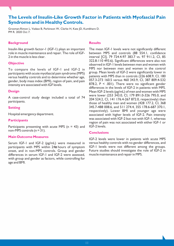## **The Levels of Insulin-Like Growth Factor in Patients with Myofascial Pain Syndrome and in Healthy Controls.**

Grosman-Rimon L, Vadasz B, Parkinson W, Clarke H, Katz JD, Kumbhare D. PM R. 2020 Oct 7.

#### **Background**

Insulin‐like growth factor-1 (IGF-1) plays an important role in muscle maintenance and repair. The role of IGF-2 in the muscle is less clear.

#### **Objective**

To compare the levels of IGF-1 and IGF-2 in participants with acute myofascial pain syndrome (MPS) versus healthy controls and to determine whether age, gender, body mass index (BMI), region of pain, and pain intensity are associated with IGF levels.

#### **Design**

A case-control study design included a total of 74 participants.

#### **Setting**

Hospital emergency department.

#### **Participants**

Participants presenting with acute MPS ( $n = 43$ ) and non-MPS controls (n = 31).

#### **Main Outcome Measures**

Serum IGF-1 and IGF-2 (pg/mL) were measured in participants with MPS within  $24n$  hours of symptom onset, and in non-MPS controls. Group and gender differences in serum IGF-1 and IGF-2 were assessed, with group and gender as factors, while controlling for age and BMI.

#### **Results**

The mean IGF-1 levels were not significantly different between MPS and controls (88 554.1, confidence interval [CI], 79 724.4-97 383.7 vs. 97 911.2, CI, 85 322.8-110 493.6). Significant differences were also not observed in IGF-1 levels between men and women with MPS nor between men and women in the control group. Mean levels of IGF-2 were significantly lower in patients with MPS than in controls (226 608.9, CI, 180 057.3-273 160.5 versus 460 343.9, CI, 387 809.4-532 878.2, P < .001). There were no significant gender differences in the levels of IGF-2 in patients with MPS. Mean IGF-2 levels (pg/mL) of men and women with MPS were lower (253 343.0, CI, 179 891.0-326 795.0, and 204 524.2, CI, 141 176.4-267 872.0, respectively) than those of healthy men and women (428 177.2, CI, 368 345.7-488 008.6, and 511 274.4, 355 178.6-687 370.1, respectively). Lower BMI and younger age were associated with higher levels of IGF-2. Pain intensity was associated with IGF-2 but not with IGF-1, whereas region of pain was not associated with either IGF-1 or IGF-2 levels.

#### **Conclusions**

IGF-2 levels were lower in patients with acute MPS versus healthy controls with no gender differences, and IGF-1 levels were not different among the groups. Future studies should investigate the role of IGF-2 in muscle maintenance and repair in MPS.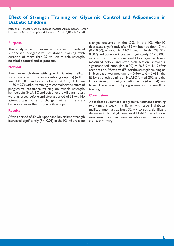## **Effect of Strength Training on Glycemic Control and Adiponectin in Diabetic Children.**

Petschnig, Renate; Wagner, Thomas; Robubi, Armin; Baron, Ramon Medicine & Science in Sports & Exercise. 2020;52(10):2172-2178.

#### **Purpose**

This study aimed to examine the effect of isolated supervised progressive resistance training with duration of more than 32 wk on muscle strength, metabolic control and adiponectin.

#### **Method**

Twenty-one children with type 1 diabetes mellitus were separated into an intervention group (IG) ( $n = 11$ age  $11.0 \pm 0.8$ ) and a control group (CG) (n = 10 age  $11.30 \pm 0.7$ ) without training to control for the effect of progressive resistance training on muscle strength, hemoglobin (HbA)1C and adiponectin. All parameters were assessed before and after a period of 32 wk. No attempt was made to change diet and the daily behaviors during the study in both groups.

#### **Results**

After a period of 32 wk, upper and lower limb strength increased significantly ( $P < 0.05$ ) in the IG, whereas no

changes occurred in the CG. In the IG, HbA1C decreased significantly after 32 wk but not after 17 wk  $(P < 0.00)$ , whereas HbA1C increased in the CG  $(P <$ 0.007). Adiponectin increased significantly (P < 0.000) only in the IG. Self-monitored blood glucose levels, measured before and after each session, showed a significant reduction ( $P < 0.00$ ) of 26.5%  $\pm$  4.4% after each session. Effect size (ES) for the strength training on limb strength was medium (d = 0.464 to d = 0.661), the ES for strength training on HbA1C ( $d = 1.292$ ) and the ES for strength training on adiponectin  $(d = 1.34)$  was large. There was no hypoglycemia as the result of training.

#### **Conclusions**

An isolated supervised progressive resistance training two times a week in children with type 1 diabetes mellitus must last at least 32 wk to get a significant decrease in blood glucose level HbA1C. In addition, exercise-induced increase in adiponectin improves insulin sensitivity.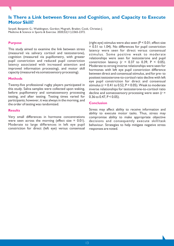## **Is There a Link between Stress and Cognition, and Capacity to Execute Motor Skill?**

Serpell, Benjamin G.; Waddington, Gordon; Mcgrath, Braden; Cook, Christian J. Medicine & Science in Sports & Exercise. 2020;52(11):2365-2372.

#### **Purpose**

This study aimed to examine the link between stress (measured via salivary cortisol and testosterone), cognition (measured via pupillometry, with greater pupil constriction and reduced pupil constriction latency associated with increased attention and improved information processing), and motor skill capacity (measured via somatosensory processing).

#### **Methods**

Twenty-five professional rugby players participated in this study. Saliva samples were collected upon waking, before pupillometry and somatosensory processing testing, and after testing. Testing times varied for participants; however, it was always in the morning, and the order of testing was randomized.

#### **Results**

Very small differences in hormone concentrations were seen across the morning (effect size  $= 0.01$ ). Moderate to large differences in left eye pupil constriction for direct (left eye) versus consensual

(right eye) stimulus were also seen (P < 0.01; effect size = 0.51 to 1.04). No differences for pupil constriction latency were seen for direct versus consensual stimulus. Some positive weak to moderate relationships were seen for testosterone and pupil constriction latency ( $r = 0.37$  to 0.39,  $P < 0.05$ ). Moderate to strong inverse relationships were seen for hormones with left eye pupil constriction difference between direct and consensual stimulus, and for pre- to posttest testosterone-to-cortisol ratio decline with left eye pupil constriction for direct and consensual stimulus ( $r = 0.41$  to 0.52,  $P < 0.05$ ). Weak to moderate inverse relationships for testosterone-to-cortisol ratio decline and somatosensory processing were seen  $(r =$ 0.36 to 0.47,  $P < 0.05$ ).

#### **Conclusion**

Stress may affect ability to receive information and ability to execute motor tasks. Thus, stress may compromise ability to make appropriate objective decisions and consequently execute skill/task behaviour. Strategies to help mitigate negative stress responses are noted.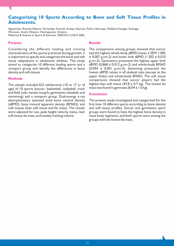## **Categorizing 10 Sports According to Bone and Soft Tissue Profiles in Adolescents.**

Agostinete, Ricardo Ribeiro; Fernandes, Romulo Araújo; Narciso, Pedro Henrique; Maillane-Vanegas, Santiago; Werneck, André Oliveira; Vlachopoulos, Dimitris Medicine & Science in Sports & Exercise. 2020;52(11):2673-2681.

#### **Purpose**

Considering the different loading and training characteristics of the sports practiced during growth, it is important to specify and categorize the bone and soft tissue adaptations in adolescent athletes. This study aimed to categorize 10 different loading sports and a nonsport group and identify the differences in bone density and soft tissues.

#### **Methods**

The sample included 625 adolescents (10 to 17 yr of age) of 10 sports (soccer, basketball, volleyball, track and field, judo, karate, kung fu, gymnastics, baseball, and swimming) and a nonsport group. Dual-energy x-ray absorptiometry assessed areal bone mineral density (aBMD), bone mineral apparent density (BMAD), and soft tissues (lean soft tissue and fat mass). The results were adjusted for sex, peak height velocity status, lean soft tissue, fat mass, and weekly training volume.

#### **Results**

The comparisons among groups showed that soccer had the highest whole-body aBMD (mean ± SEM: 1.082  $\pm$  0.007 g.cm-2) and lower limb aBMD (1.302  $\pm$  0.010 g.cm-2). Gymnastics presented the highest upper limb  $a$ BMD (0.868  $\pm$  0.012 g.cm-2) and whole-body BMAD  $(0.094 \pm 0.001 \text{ g.cm-3})$ . Swimming presented the lowest aBMD values in all skeletal sites (except at the upper limbs) and whole-body BMAD. The soft tissue comparisons showed that soccer players had the highest lean soft tissue (43.8  $\pm$  0.7 kg). The lowest fat mass was found in gymnasts  $(8.04 \pm 1.0 \text{ kg})$ .

#### **Conclusion**

The present study investigated and categorized for the first time 10 different sports according to bone density and soft tissue profiles. Soccer and gymnastics sport groups were found to have the highest bone density in most body segments, and both sports were among the groups with the lowest fat mass.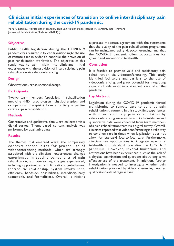## **Clinicians initial experiences of transition to online interdisciplinary pain rehabilitation during the covid-19 pandemic.**

Vera A. Baadjou, Marlies den Hollander, Thijs van Meulenbroek, Jeanine A. Verbunt, Inge Timmers Journal of Rehabilitation Medicine 2020;3(5):

#### **Objective**

Public health legislation during the COVID-19 pandemic has resulted in forced transitioning to the use of remote care in order to continue the provision of pain rehabilitation worldwide. The objective of this study was to gain insight into clinicians´ initial experiences with the provision of interdisciplinary pain rehabilitation via videoconferencing.

#### **Design**

Observational, cross-sectional design.

#### **Participants**

Twelve team members (specialists in rehabilitation medicine -MD, psychologists, physiotherapists and occupational therapists) from a tertiary expertise centre in pain rehabilitation.

#### **Methods**

Quantitative and qualitative data were collected via a digital survey. Theme-based content analysis was performed for qualitative data.

#### **Results**

The themes that emerged were: the compulsory context; prerequisites for proper use of videoconferencing methods, which are strongly associated with the clinicians´ experiences; changes experienced in specific components of pain rehabilitation; and overarching changes experienced, including opportunities and limitations (sub-themes: therapeutic relationship, system involvement, efficiency, hands-on possibilities, interdisciplinary teamwork, and formalities). Overall, clinicians

expressed moderate agreement with the statements that the quality of the pain rehabilitation programme can be maintained using videoconferencing, and that the COVID-19 pandemic offers opportunities for growth and innovation in telehealth.

#### **Conclusion**

It is feasible to provide valid and satisfactory pain rehabilitation via videoconferencing. This study identified facilitators and barriers to the use of videoconferencing, and great potential for integrating aspects of telehealth into standard care after the pandemic.

#### **Lay Abstract**

Legislation during the COVID-19 pandemic forced transitioning to remote care to continue pain rehabilitation treatment. In this study, first experiences with interdisciplinary pain rehabilitation by videoconferencing were gathered. Both qualitative and quantitative data were collected from team members of a pain rehabilitation team via a digital survey. Overall, clinicians reported that videoconferencing is a valid way to continue care in times when legalisation does not allow for standard face-to-face care. Furthermore, clinicians see opportunities to integrate aspects of telehealth into standard care after the COVID-19 pandemic. However, several limitations and restrictions have been experienced, such as the lack of a physical examination and questions about long-term effectiveness of the treatment. In addition, further investigation is needed to investigate whether pain rehabilitation provided by videoconferencing reaches quality standards of regular care.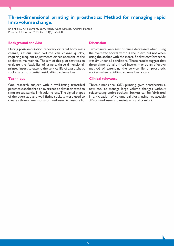## **Three-dimensional printing in prosthetics: Method for managing rapid limb volume change.**

Eric Nickel, Kyle Barrons, Barry Hand, Alana Cataldo, Andrew Hansen Prosthet Orthot Int. 2020 Oct; 44(5):355-358.

#### **Background and Aim**

During post-amputation recovery or rapid body mass change, residual limb volume can change quickly, requiring frequent adjustments or replacement of the socket to maintain fit. The aim of this pilot test was to evaluate the feasibility of using a three-dimensionalprinted insert to extend the service life of a prosthetic socket after substantial residual limb volume loss.

#### **Technique**

One research subject with a well-fitting transtibial prosthetic socket had an oversized socket fabricated to simulate substantial limb volume loss. The digital shapes of the oversized and well-fitting sockets were used to create a three-dimensional-printed insert to restore fit.

#### **Discussion**

Two-minute walk test distance decreased when using the oversized socket without the insert, but not when using the socket with the insert. Socket comfort score was 8+ under all conditions. These results suggest that three-dimensional-printed inserts may be an effective method of extending the service life of prosthetic sockets when rapid limb volume loss occurs.

#### **Clinical relevance**

Three-dimensional (3D) printing gives prosthetists a new tool to manage large volume changes without refabricating entire sockets. Sockets can be fabricated in anticipation of volume gain/loss, using replaceable 3D-printed inserts to maintain fit and comfort.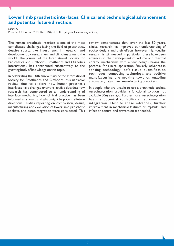## **Lower limb prosthetic interfaces: Clinical and technological advancement and potential future direction.**

Safari R.

Prosthet Orthot Int. 2020 Dec; 44(6):384-401.(50 year Celebratory edition)

The human–prosthesis interface is one of the most complicated challenges facing the field of prosthetics, despite substantive investments in research and development by researchers and clinicians around the world. The journal of the International Society for Prosthetics and Orthotics, Prosthetics and Orthotics International, has contributed substantively to the growing body of knowledge on this topic.

In celebrating the 50th anniversary of the International Society for Prosthetics and Orthotics, this narrative review aims to explore how human–prosthesis interfaces have changed over the last five decades; how research has contributed to an understanding of interface mechanics; how clinical practice has been informed as a result; and what might be potential future directions. Studies reporting on comparison, design, manufacturing and evaluation of lower limb prosthetic sockets, and osseointegration were considered. This

review demonstrates that, over the last 50 years, clinical research has improved our understanding of socket designs and their effects; however, high-quality research is still needed. In particular, there have been advances in the development of volume and thermal control mechanisms with a few designs having the potential for clinical application. Similarly, advances in sensing technology, soft tissue quantification techniques, computing technology, and additive manufacturing are moving towards enabling automated, data-driven manufacturing of sockets.

In people who are unable to use a prosthetic socket, osseointegration provides a functional solution not available 50<sup>D</sup>years ago. Furthermore, osseointegration has the potential to facilitate neuromuscular integration. Despite these advances, further improvement in mechanical features of implants, and infection control and prevention are needed.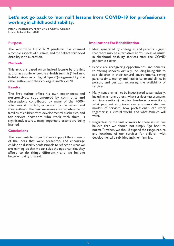## **Let's not go back to 'normal'! lessons from COVID-19 for professionals working in childhood disability.**

Peter L. Rosenbaum, Mindy Silva & Chantal Camden Disabil Rehabil, Dec 2020.

#### **Purpose**

The worldwide COVID-19 pandemic has changed almost all aspects of our lives, and the field of childhood disability is no exception.

#### **Methods**

This article is based on an invited lecture by the first author at a conference–the eHealth Summit ("Pediatric Rehabilitation in a Digital Space")–organized by the other authors and their colleagues in May 2020.

#### **Results**

The first author offers his own experiences and perspectives, supplemented by comments and observations contributed by many of the 9000+ attendees at this talk, as curated by the second and third authors. The basic messages are that while life for families of children with developmental disabilities, and for service providers who work with them, is significantly altered, many important lessons are being learned.

#### **Conclusions**

The comments from participants support the currency of the ideas that were presented, and encourage childhood disability professionals to reflect on what we are learning, so that we can seize the opportunities they afford to do things differently–and we believe better–moving forward.

- Ideas generated by colleagues and parents suggest that there may be alternatives to "business as usual" in childhood disability services after the COVID pandemic is over.
- People are recognizing opportunities, and benefits, to offering services virtually, including being able to see children in their natural environments, saving parents time, money and hassles to attend clinics in person, and perhaps increasing the availability of services.
- Many issues remain to be investigated systematically, including, among others, what services (assessments and interventions) require hands-on connections, what payment structures can accommodate new models of services, how professionals can work together in a virtual world, and what families will want.
- Regardless of the final answers to these issues, we believe that we should not simply "go back to normal"; rather, we should expand the range, nature and locations of our services for children with developmental disabilities and their families.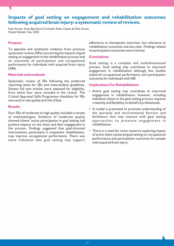## **Impacts of goal setting on engagement and rehabilitation outcomes following acquired brain injury: a systematic review of reviews.**

Katri Knutti, Anita Björklund Carlstedt, Rieke Clasen & Dido Green Disabil Rehabil, Nov 2020.

#### **Purpose**

To appraise and synthesize evidence from previous systematic reviews (SRs) concerning the impacts of goal setting on engagement in the rehabilitation process and on outcomes of participation and occupational performance for individuals with acquired brain injury (ABI).

#### **Materials and methods**

Systematic review of SRs following the preferred reporting items for SRs and meta-analysis guidelines. Sixteen full text articles were assessed for eligibility, from which four were included in the review. The Critical Appraisal Skills Programme checklists for SRs was used to rate quality and risk of bias.

#### **Results**

Four SRs of moderate to high quality included a variety of methodologies. Evidence of moderate quality showed clients' active participation in goal setting had positive impacts on the client and their engagement in the process. Findings suggested that goal-directed interventions, particularly in outpatient rehabilitation, may improve occupational performance. There was some indication that goal setting may support

adherence to therapeutic exercises, but relevance to rehabilitation outcomes was less clear. Findings related to participation outcomes were minimal.

#### **Conclusions**

Goal setting is a complex and multidimensional process. Goal setting may contribute to improved engagement in rehabilitation although few studies explored occupational performance and participation outcomes for individuals with ABI.

- Active goal setting may contribute to improved engagement in rehabilitation, however, including individual clients in the goal setting process requires creativity and flexibility on behalf of professionals.
- A model is presented to promote understanding of the personal and environmental barriers and facilitators that may interact with goal setting approaches to promote engagement in rehabilitation.
- There is a need for more research exploring impact of active client-centered goal setting on occupational performance and participation outcomes for people with acquired brain injury.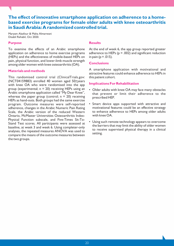## **The effect of innovative smartphone application on adherence to a homebased exercise programs for female older adults with knee osteoarthritis in Saudi Arabia: A randomized controlled trial.**

Maryam Alasfour & Maha Almarwani Disabil Rehabil, Oct 2020.

#### **Purpose**

To examine the effects of an Arabic smartphone application on adherence to home exercise programs (HEPs) and the effectiveness of mobile-based HEPs on pain, physical function, and lower-limb muscle strength among older women with knee osteoarthritis (OA).

#### **Materials and methods**

This randomised control trial (ClinicalTrials.gov: (NCT04159883) enrolled 40 women aged 50>years with knee OA who were randomised into the app group (experimental;  $n = 20$ ) receiving HEPs using an Arabic smartphone application called "My Dear Knee", whereas the paper group (control;  $n = 20$ ) receiving HEPs as hand-outs. Both groups had the same exercise program. Outcome measures were self-reported adherence, changes in the Arabic Numeric Pain Rating Scale, the Arabic version of the reduced Western Ontario, McMaster Universities Osteoarthritis Index-Physical Function subscale, and Five-Times Sit-To-Stand Test scores. All participants were assessed at baseline, at week 3 and week 6. Using completer-only analyses, the repeated measures ANOVA was used to compare the means of the outcome measures between the two groups.

### **Results**

At the end of week 6, the app group reported greater adherence to HEPs ( $p = .002$ ) and significant reduction in pain ( $p = .015$ ).

#### **Conclusions**

A smartphone application with motivational and attractive features could enhance adherence to HEPs in this patient cohort.

- Older adults with knee OA may face many obstacles that prevent or limit their adherence to the prescribed HEP.
- Smart device apps supported with attractive and motivational features could be an effective strategy to enhance adherence to HEPs among older adults with knee OA.
- Using such remote technology appears to overcome the barriers that may limit the ability of older women to receive supervised physical therapy in a clinical setting.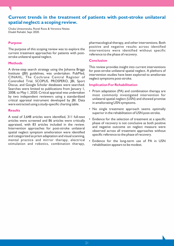## **Current trends in the treatment of patients with post-stroke unilateral spatial neglect: a scoping review.**

Chuka Umeonwuka, Ronel Roos & Veronica Ntsiea Disabil Rehabil, Sept 2020.

#### **Purpose**

The purpose of this scoping review was to explore the current treatment approaches for patients with poststroke unilateral spatial neglect.

#### **Methods**

A three-step search strategy using the Johanna Briggs Institute (JBI) guidelines, was undertaken. PubMed, CINAHL, The Cochrane Central Register of Controlled Trial, SCOPUS, PROSPERO, JBI, Sport Discus, and Google Scholar databases were searched. Searches were limited to publications from January 1, 2008, to May 1, 2020. Critical appraisal was undertaken by two independent reviewers using a standardized critical appraisal instrument developed by JBI. Data were extracted using a study-specific charting table.

#### **Results**

A total of 3,648 articles were identified, 311 full-text articles were screened and 86 articles were critically appraised, with 83 articles included in the review. Intervention approaches for post-stroke unilateral spatial neglect symptom amelioration were identified and categorized as prism adaptation and visual scanning, mental practice and mirror therapy, electrical stimulation and robotics, combination therapy,

pharmacological therapy, and other interventions. Both positive and negative results across identified interventions were identified without specific reference to the phase of recovery.

#### **Conclusion**

This review provides insight into current interventions for post-stroke unilateral spatial neglect. A plethora of intervention studies have been explored to ameliorate neglect symptoms post-stroke.

- Prism adaptation (PA) and combination therapy are most commonly investigated intervention for unilateral spatial neglect (USN) and showed promise in ameliorating USN symptoms.
- No single treatment approach seems optimally superior in the rehabilitation of USN post-stroke.
- Evidence for the selection of treatment at a specific phase of recovery is not conclusive as both positive and negative outcome on neglect measure were observed across all treatment approaches without specific reference to the phase of recovery.
- Evidence for the long-term use of PA in USN rehabilitation appears to be modest.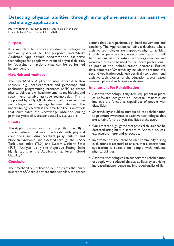## **Detecting physical abilities through smartphone sensors: an assistive technology application.**

Paul Whittington, Huseyin Dogan, Keith Phalp & Nan Jiang Disabil Rehabil Assist Technol, Dec 2020.

#### **Purpose**

It is important to promote assistive technologies to improve quality of life. The proposed SmartAbility Android Application recommends assistive technologies for people with reduced physical abilities, by focussing on actions that can be performed independently.

#### **Materials and methods**

The SmartAbility Application uses Android built-in sensors, e.g., accelerometer and gyroscope and application programming interfaces (APIs) to detect physical abilities, e.g., head movements and blowing and recommend suitable assistive technologies. This is supported by a MySQL database that stores assistive technologies and mappings between abilities. The underpinning research is the SmartAbility Framework that culminates the knowledge obtained during previously feasibility trials and usability evaluations.

#### **Results**

The Application was evaluated by pupils  $(n = 18)$  at special educational needs schools with physical conditions, including cerebral palsy, autism and Noonan syndrome, and assessed through the NASA Task Load Index (TLX) and System Usability Scale (SUS). Analysis using the Adjective Rating Scale highlighted that the Application achieves "Good Usability".

#### **Conclusion**

The SmartAbility Application demonstrates that builtin sensors of Android devices and their APIs, can detect actions that users perform, e.g., head movements and speaking. The Application contains a database where assistive technologies are mapped to physical abilities, in order to provide suitable recommendations. It will be disseminated to assistive technology charities and manufacturers and be used by healthcare professionals as part of the rehabilitation process. Future developments of SmartAbility include the creation of a second Application designed specifically to recommend assistive technologies for the education sector, based on users' physical and cognitive abilities.

- Assistive technology is any item, equipment or piece of software designed to increase, maintain or improve the functional capabilities of people with disabilities.
- SmartAbility should be introduced into rehabilitation to promote awareness of assistive technologies that are suitable for the physical abilities of the user.
- Our research highlighted that physical abilities can be detected using built-in sensors of Android devices, e.g. accelerometer and gyroscope.
- Involvement of the intended user community during evaluations is essential to ensure that a smartphone application is suitable for people with reduced physical abilities.
- Assistive technologies can support the rehabilitation of people with reduced physical abilities by providing increased independence and improved quality of life.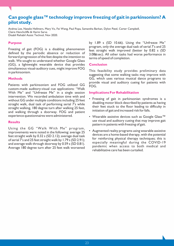## **Can google glass™ technology improve freezing of gait in parkinsonism? A pilot study.**

Andrea Lee, Natalie Hellmers, Mary Vo, Fei Wang, Paul Popa, Samantha Barkan, Dylon Patel, Carter Campbell, Claire Henchcliffe & Harini Sarva Disabil Rehabil Assist Technol, Nov 2020.

### **Purpose**

Freezing of gait (FOG) is a disabling phenomenon defined by the periodic absence or reduction of forward progression of the feet despite the intention to walk. We sought to understand whether Google Glass (GG), a lightweight wearable device that provides simultaneous visual-auditory cues, might improve FOG in parkinsonism.

#### **Methods**

Patients with parkinsonism and FOG utilized GG custom-made auditory-visual cue applications: "Walk With Me" and "Unfreeze Me" in a single session intervention. We recorded ambulation time with and without GG under multiple conditions including 25 feet straight walk, dual task of performing serial 7's while straight walking, 180 degree turn after walking 25 feet, and walking through a doorway. FOG and patient experience questionnaires were administered.

#### **Results**

Using the GG "Walk With Me" program, improvements were noted in the following: average 25 feet straight walk by 0.32 s (SD 2.12); average dual task of serial 7's and 25 feet straight walk by 1.79 s (SD 2.91); and average walk through doorway by 0.59 s (SD 0.81). Average 180 degree turn after 25 feet walk worsened by 1.89 s (SD 10.66). Using the "Unfreeze Me" program, only the average dual task of serial 7's and 25 feet straight walk improved (better by 0.82 s (SD 3.08 u sec). All other tasks had worse performance in terms of speed of completion.

#### **Conclusion**

This feasibility study provides preliminary data suggesting that some walking tasks may improve with GG, which uses various musical dance programs to provide visual and auditory cueing for patients with FOG.

- Freezing of gait in parkinsonian syndromes is a disabling motor block described by patients as having their feet stuck to the floor leading to difficulty in initiation of gait and increased risk for falls.
- Wearable assistive devices such as Google Glass™ use visual and auditory cueing that may improve gait pattern in patients with freezing of gait.
- Augmented reality programs using wearable assistive devices are a home-based therapy, with the potential for reinforcing physical therapy techniques; this is especially meaningful during the COVID-19 pandemic when access to both medical and rehabilitative care has been curtailed.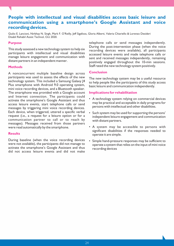## **People with intellectual and visual disabilities access basic leisure and communication using a smartphone's Google Assistant and voice recording devices.**

Giulio E. Lancioni, Nirbhay N. Singh, Mark F. O'Reilly, Jeff Sigafoos, Gloria Alberti, Valeria Chiariello & Lorenzo Desideri Disabil Rehabil Assist Technol, Oct 2020.

#### **Purpose**

This study assessed a new technology system to help six participants with intellectual and visual disabilities manage leisure engagement and communication with distant partners in an independent manner.

#### **Methods**

A nonconcurrent multiple baseline design across participants was used to assess the effects of the new technology system. This included a Samsung Galaxy J4 Plus smartphone with Android 9.0 operating system, mini voice recording devices, and a Bluetooth speaker. The smartphone was provided with a Google account and Internet connection. The participants could activate the smartphone's Google Assistant and thus access leisure events, start telephone calls or send messages by triggering mini voice recording devices. Each device, when triggered, uttered a specific verbal request (i.e., a request for a leisure option or for a communication partner to call or to reach by messages). Messages received from those partners were read automatically by the smartphone.

#### **Results**

During baseline (when the voice recording devices were not available), the participants did not manage to activate the smartphone's Google Assistant and thus did not access leisure events and did not make telephone calls or send messages independently. During the post-intervention phase (when the voice recording devices were available), all participants accessed leisure events and made telephone calls or sent and received messages independently, remaining positively engaged throughout the 10-min sessions. Staff rated the new technology system positively.

### **Conclusion**

The new technology system may be a useful resource to help people like the participants of this study access basic leisure and communication independently.

- A technology system relying on commercial devices may be practical and acceptable in daily programs for persons with intellectual and other disabilities.
- Such system may be used for supporting the persons' independent leisure engagement and communication with distant partners.
- A system may be accessible to persons with significant disabilities if the responses needed to operate it are simple.
- Simple hand-pressure responses may be sufficient to operate a system that relies on the input of mini voice recording devices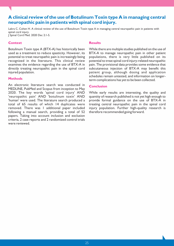## **A clinical review of the use of Botulinum Toxin type A in managing central neuropathic pain in patients with spinal cord injury.**

Lakra C, Cohen H. A clinical review of the use of Botulinum Toxin type A in managing central neuropathic pain in patients with spinal cord injury.

J Spinal Cord Med. 2020 Dec 2:1-5.

#### **Context**

Botulinum Toxin type A (BTX-A) has historically been used as a treatment to reduce spasticity. However, its potential to treat neuropathic pain is increasingly being recognized in the literature. This clinical review examines the evidence regarding the use of BTX-A in directly treating neuropathic pain in the spinal cord injured population.

#### **Methods**

An electronic literature search was conducted in MEDLINE, PubMed and Scopus from inception to May 2020. The key words 'spinal cord injury' AND 'neuropathic pain' AND 'botulinum toxin' AND 'human' were used. The literature search produced a total of 65 results of which 14 duplicates were removed. There was 1 additional paper included following a manual search, providing a total of 52 papers. Taking into account inclusion and exclusion criteria, 2 case reports and 2 randomized control trials were reviewed.

#### **Results**

While there are multiple studies published on the use of BTX-A to manage neuropathic pain in other patient populations, there is very little published on its potential to treat spinal cord injury-related neuropathic pain. The provisional data provides some evidence that subcutaneous injection of BTX-A may benefit this patient group, although dosing and application schedules remain untested, and information on longerterm complications has yet to be been collected.

#### **Conclusion**

While early results are interesting, the quality and quantity of research published is not yet high enough to provide formal guidance on the use of BTX-A in treating central neuropathic pain in the spinal cord injury population. Further high-quality research is therefore recommended going forward.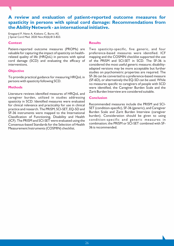## **A review and evaluation of patient-reported outcome measures for spasticity in persons with spinal cord damage: Recommendations from the Ability Network - an international initiative.**

Ertzgaard P, Nene A, Kiekens C, Burns AS. J Spinal Cord Med. 2020 Nov;43(6):813-823.

#### **Context**

Patient-reported outcome measures (PROMs) are valuable for capturing the impact of spasticity on healthrelated quality of life (HRQoL) in persons with spinal cord damage (SCD) and evaluating the efficacy of interventions.

#### **Objective**

To provide practical guidance for measuring HRQoL in persons with spasticity following SCD.

#### **Methods**

Literature reviews identified measures of HRQoL and caregiver burden, utilized in studies addressing spasticity in SCD. Identified measures were evaluated for clinical relevance and practicality for use in clinical practice and research. The PRISM, SCI-SET, EQ-5D and SF-36 instruments were mapped to the International Classification of Functioning, Disability and Health (ICF). The PRISM and SCI-SET were evaluated using the Consensus-based Standards for the Selection of Health Measurement Instruments (COSMIN) checklist.

#### **Results**

Two spasticity-specific, five generic, and four preference-based measures were identified. ICF mapping and the COSMIN checklist supported the use of the PRISM and SCI-SET in SCD. The SF-36 is considered the most useful generic measure; disabilityadapted versions may be more acceptable but further studies on psychometric properties are required. The SF-36 can be converted to a preference-based measure (SF-6D), or alternatively the EQ-5D can be used. While no measures specific to caregivers of people with SCD were identified, the Caregiver Burden Scale and the Zarit Burden Interview are considered suitable.

#### **Conclusion**

Recommended measures include the PRISM and SCI-SET (condition-specific), SF-36 (generic), and Caregiver Burden Scale and Zarit Burden Interview (caregiver burden). Consideration should be given to using condition-specific and generic measures in combination; the PRISM or SCI-SET combined with SF-36 is recommended.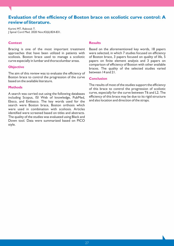## **Evaluation of the efficiency of Boston brace on scoliotic curve control: A review of literature.**

Karimi MT, Rabczuk T. J Spinal Cord Med. 2020 Nov;43(6):824-831.

#### **Context**

Bracing is one of the most important treatment approaches that have been utilized in patients with scoliosis. Boston brace used to manage a scoliotic curve especially in lumbar and thoracolumbar areas.

#### **Objective**

The aim of this review was to evaluate the efficiency of Boston brace to control the progression of the curve based on the available literature.

#### **Methods**

A search was carried out using the following databases including Scopus, ISI Web of knowledge, PubMed, Ebsco, and Embasco. The key words used for the search were Boston brace, Boston orthosis which were used in combination with scoliosis. Articles identified were screened based on titles and abstracts. The quality of the studies was evaluated using Black and Down tool. Data were summarized based on PICO style.

#### **Results**

Based on the aforementioned key words, 18 papers were selected, in which 7 studies focused on efficiency of Boston brace, 3 papers focused on quality of life, 5 papers on finite element analysis and 3 papers on comparison of efficiency of Boston with other available braces. The quality of the selected studies varied between 14 and 21.

#### **Conclusion**

The results of most of the studies support the efficiency of this brace to control the progression of scoliotic curve, especially for the curve between T6 and L2. The efficiency of this brace may be due to its rigid structure and also location and direction of the straps.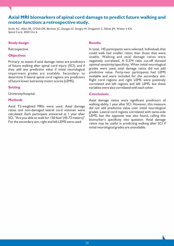## **Axial MRI biomarkers of spinal cord damage to predict future walking and motor function: a retrospective study.**

Smith AC, Albin SR, O'Dell DR, Berliner JC, Dungan D, Sevigny M, Draganich C, Elliott JM, Weber Ii KA. Spinal Cord. 2020 Oct 6.

#### **Study design**

Retrospective.

#### **Objectives**

Primary: to assess if axial damage ratios are predictors of future walking after spinal cord injury (SCI), and if they add any predictive value if initial neurological impairment grades are available. Secondary: to determine if lateral spinal cord regions are predictors of future lower extremity motor scores (LEMS).

#### **Setting**

University/hospital.

#### **Methods**

Axial T2-weighted MRIs were used. Axial damage ratios and non-damaged lateral cord volumes were calculated. Each participant answered at 1 year after SCI, "Are you able to walk for 150 feet? (45.72 meters)" For the secondary aim, right and left LEMS were used.

#### **Results**

In total, 145 participants were selected. Individuals that could walk had smaller ratios than those that were unable. Walking and axial damage ratios were negatively correlated. A 0.374 ratio cut-off showed optimal sensitivity/specificity. When initial neurological grades were used, axial damage ratios did not add predictive value. Forty-two participants had LEMS available and were included for the secondary aim. Right cord regions and right LEMS were positively correlated and left regions and left LEMS, but these variables were also correlated with each other.

#### **Conclusions**

Axial damage ratios were significant predictors of walking ability 1 year after SCI. However, this measure did not add predictive value over initial neurological grades. Lateral cord regions correlated with same-side LEMS, but the opposite was also found, calling this biomarker's specificity into question. Axial damage ratios may be useful in predicting walking after SCI if initial neurological grades are unavailable.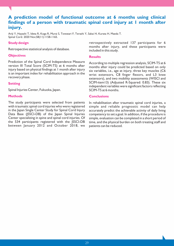## **A prediction model of functional outcome at 6 months using clinical findings of a person with traumatic spinal cord injury at 1 month after injury.**

Ariji Y, Hayashi T, Ideta R, Koga R, Murai S, Towatari F, Terashi Y, Sakai H, Kurata H, Maeda T. Spinal Cord. 2020 Nov;58(11):1158-1165.

#### **Study design**

Retrospective statistical analysis of database.

#### **Objectives**

Prediction of the Spinal Cord Independence Measure version III Total Score (SCIM-TS) at 6 months after injury based on physical findings at 1 month after injury is an important index for rehabilitation approach in the recovery phase.

### **Setting**

Spinal Injuries Center, Fukuoka, Japan.

### **Methods**

The study participants were selected from patients with traumatic spinal cord injuries who were registered in the Japan Single Center Study for Spinal Cord Injury Data Base (JSSCI-DB) of the Japan Spinal Injuries Center specializing in spine and spinal cord injuries. Of the 534 participants registered with the JSSCI-DB between January 2012 and October 2018, we retrospectively extracted 137 participants for 6 months after injury, and these participants were included in this study.

#### **Results**

According to multiple regression analysis, SCIM-TS at 6 months after injury could be predicted based on only six variables, i.e., age at injury, three key muscles (C6 wrist extensors, C8 finger flexors, and L3 knee extensors), and two mobility assessments (WISCI and SCIM-item13) (Adjusted R-Squared: 0.83). These six independent variables were significant factors reflecting SCIM-TS at 6 months.

#### **Conclusions**

In rehabilitation after traumatic spinal cord injuries, a simple and reliable prognostic model can help accurately predict the achievable activity of daily living competency to set a goal. In addition, if the procedure is simple, evaluation can be completed in a short period of time, and the physical burden on both treating staff and patients can be reduced.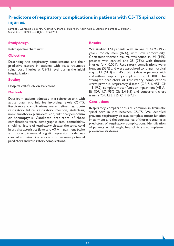## **Predictors of respiratory complications in patients with C5-T5 spinal cord injuries.**

Sampol J, González-Viejo MÁ, Gómez A, Martí S, Pallero M, Rodríguez E, Launois P, Sampol G, Ferrer J. Spinal Cord. 2020 Dec;58(12):1249-1254.

#### **Study design**

Retrospective chart audit.

#### **Objectives**

Describing the respiratory complications and their predictive factors in patients with acute traumatic spinal cord injuries at C5-T5 level during the initial hospitalization.

#### **Setting**

Hospital Vall d'Hebron, Barcelona.

#### **Methods**

Data from patients admitted in a reference unit with acute traumatic injuries involving levels C5-T5. Respiratory complications were defined as: acute respiratory failure, respiratory infection, atelectasis, non-hemothorax pleural effusion, pulmonary embolism or haemoptysis. Candidate predictors of these complications were demographic data, comorbidity, smoking, history of respiratory disease, the spinal cord injury characteristics (level and ASIA Impairment Scale) and thoracic trauma. A logistic regression model was created to determine associations between potential predictors and respiratory complications.

#### **Results**

We studied 174 patients with an age of 47.9 (19.7) years, mostly men (87%), with low comorbidity. Coexistent thoracic trauma was found in 24 (19%) patients with cervical and 35 (75%) with thoracic injuries ( $p \leq 0.001$ ). Respiratory complications were frequent (53%) and were associated to longer hospital stay: 83.1 (61.3) and 45.3 (28.1) days in patients with and without respiratory complications (p < 0.001). The strongest predictors of respiratory complications were: previous respiratory disease (OR 5.4, 95% CI: 1.5-19.2), complete motor function impairment (AIS A-B) (OR 4.7, 95% CI: 2.4-9.5) and concurrent chest trauma (OR 3.73, 95% CI: 1.8-7.9).

#### **Conclusions**

Respiratory complications are common in traumatic spinal cord injuries between C5-T5. We identified previous respiratory disease, complete motor function impairment and the coexistence of thoracic trauma as predictors of respiratory complications. Identification of patients at risk might help clinicians to implement preventive strategies.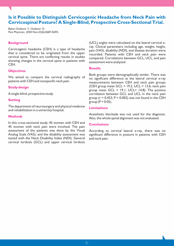## **Is it Possible to Distinguish Cervicogenic Headache from Neck Pain with Cervicospinal Posture? A Single-Blind, Prospective Cross-Sectional Trial.**

Bahar-Ozdemir Y, Ozdemir O. Pain Physician. 2020 Nov;23(6):E687-E694.

#### **Background**

Cervicogenic headache (CEH) is a type of headache that is considered to be originated from the upper cervical spine. There are conflicting results in studies showing changes in the cervical spine in patients with CEH.

#### **Objectives**

We aimed to compare the cervical radiographs of patients with CEH and nonspecific neck pain.

#### **Study design**

A single-blind, prospective study.

#### **Setting**

The department of neurosurgery and physical medicine and rehabilitation in a university hospital.

#### **Methods**

In this cross-sectional study; 45 women with CEH and 45 women with neck pain were involved. The pain assessment of the patients was done by the Visual Analog Scale (VAS), and the disability assessment was tested with the Neck Disability Index (NDI). General cervical lordosis (GCL) and upper cervical lordosis

(UCL) angles were calculated on the lateral cervical xray. Clinical parameters including age, weight, height, pain (VAS), disability (NDI), and disease duration were recorded. Patients with CEH and neck pain were compared. Correlations between GCL, UCL, and pain assessment were analyzed.

#### **Results**

Both groups were demographically similar. There was no significant difference at the lateral cervical x-ray measurements between CEH and neck pain groups (CEH group mean GCL =  $19.2$ , UCL =  $13.6$ ; neck pain group mean  $GCL = 19.1$ , UCL= 14.8). The positive correlation between GCL and UCL in the neck pain group ( $r = 0.453$ ;  $P = 0.002$ ) was not found in the CEH group  $(P > 0.05)$ .

#### **Limitations**

Anesthetic blockade was not used for the diagnosis. Also, the whole spinal alignment was not evaluated.

#### **Conclusions**

According to cervical lateral x-ray, there was no significant difference in posture in patients with CEH and neck pain.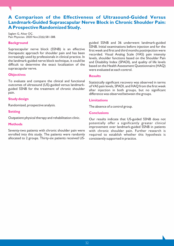## **A Comparison of the Effectiveness of Ultrasound-Guided Versus Landmark-Guided Suprascapular Nerve Block in Chronic Shoulder Pain: A Prospective Randomized Study.**

Saglam G, Alisar DÇ. Pain Physician. 2020 Nov;23(6):581-588.

#### **Background**

Suprascapular nerve block (SSNB) is an effective therapeutic approach for shoulder pain and has been increasingly used by professionals in clinical practice. In the landmark-guided nerve block technique, it could be difficult to determine the exact localization of the suprascapular nerve.

#### **Objectives**

To evaluate and compare the clinical and functional outcomes of ultrasound (US)-guided versus landmarkguided SSNB for the treatment of chronic shoulder pain.

## **Study design**

Randomized, prospective analysis.

### **Setting**

Outpatient physical therapy and rehabilitation clinic.

#### **Methods**

Seventy-two patients with chronic shoulder pain were enrolled into this study. The patients were randomly allocated to 2 groups. Thirty-six patients received US- guided SSNB and 36 underwent landmark-guided SSNB. Initial examinations before injection and for the first week and first and third months postinjection were recorded. Visual Analog Scale (VAS) pain intensity levels, shoulder functions based on the Shoulder Pain and Disability Index (SPADI), and quality of life levels based on the Health Assessment Questionnaire (HAQ) were evaluated at each control.

#### **Results**

Statistically significant recovery was observed in terms of VAS pain levels, SPADI, and HAQ from the first week after injection in both groups, but no significant difference was observed between the groups.

### **Limitations**

The absence of a control group.

#### **Conclusions**

Our results indicate that US-guided SSNB does not potentially offer a significantly greater clinical improvement over landmark-guided SSNB in patients with chronic shoulder pain. Further research is required to establish whether this hypothesis is consistently supported in practice.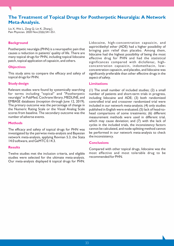## **The Treatment of Topical Drugs for Postherpetic Neuralgia: A Network Meta-Analysis.**

Liu X, Wei L, Zeng Q, Lin K, Zhang J. Pain Physician. 2020 Nov;23(6):541-551.

#### **Background**

Postherpetic neuralgia (PHN) is a neuropathic pain that causes a reduction in patients' quality of life. There are many topical drugs for PHN, including topical lidocaine patch, topical application of capsaicin, and others.

#### **Objectives**

This study aims to compare the efficacy and safety of topical drugs for PHN.

#### **Study design**

Relevant studies were found by systemically searching for terms including "topical" and "Postherpetic neuralgia" in PubMed, Cochrane library, MEDLINE, and EMBASE databases (inception through June 12, 2019). The primary outcome was the percentage of change in the Numeric Rating Scale or the Visual Analog Scale scores from baseline. The secondary outcome was the number of adverse events.

#### **Methods**

The efficacy and safety of topical drugs for PHN was investigated by the pairwise meta-analysis and Bayesian network meta-analysis, applying Revman 5.3, the Stata 14.0 software, and GeMTC 0.14.3.

#### **Results**

Twelve studies met the inclusion criteria, and eligible studies were selected for the ultimate meta-analysis. Our meta-analysis displayed 6 topical drugs for PHN. Lidocaine, high-concentration capsaicin, and aspirin/diethyl ether (ADE) had a higher possibility of bringing pain relief than placebo. Among them, lidocaine had the highest possibility of being the most effective drug for PHN and had the statistical significances compared with diclofenac, highconcentration capsaicin, indomethacin, lowconcentration capsaicin, and placebo, and lidocaine was significantly preferable than other effective drugs in the aspect of safety.

#### **Limitations**

(1) The small number of included studies; (2) a small number of patients and short-term trials in progress, including lidocaine and ADE; (3) both randomized controlled trial and crossover randomized trial were included in our network meta-analysis; (4) only studies published in English were evaluated; (5) lack of head-tohead comparisons of some treatments; (6) different measurement methods were used in different trial, which may cause deviation; and (7) with the lack of cycles in the included trials, the inconsistency factors cannot be calculated, and node-splitting method cannot be performed in our network meta-analysis to check the inconsistency.

#### **Conclusions**

Compared with other topical drugs, lidocaine was the most effective and most tolerable drug to be recommended for PHN.